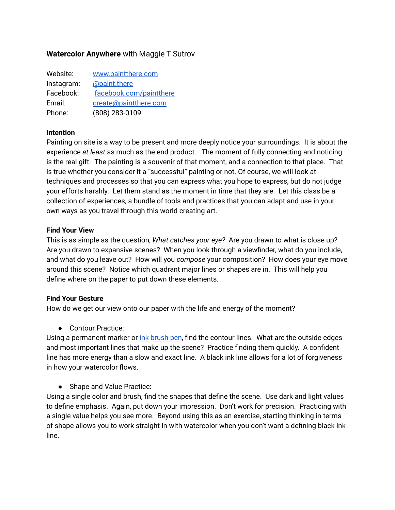# **Watercolor Anywhere** with Maggie T Sutrov

| Website:   | www.paintthere.com      |
|------------|-------------------------|
| Instagram: | @paint.there            |
| Facebook:  | facebook.com/paintthere |
| Email:     | create@paintthere.com   |
| Phone:     | (808) 283-0109          |

#### **Intention**

Painting on site is a way to be present and more deeply notice your surroundings. It is about the experience *at least* as much as the end product. The moment of fully connecting and noticing is the real gift. The painting is a souvenir of that moment, and a connection to that place. That is true whether you consider it a "successful" painting or not. Of course, we will look at techniques and processes so that you can express what you hope to express, but do not judge your efforts harshly. Let them stand as the moment in time that they are. Let this class be a collection of experiences, a bundle of tools and practices that you can adapt and use in your own ways as you travel through this world creating art.

#### **Find Your View**

This is as simple as the question, *What catches your eye?* Are you drawn to what is close up? Are you drawn to expansive scenes? When you look through a viewfinder, what do you include, and what do you leave out? How will you *compose* your composition? How does your eye move around this scene? Notice which quadrant major lines or shapes are in. This will help you define where on the paper to put down these elements.

#### **Find Your Gesture**

How do we get our view onto our paper with the life and energy of the moment?

● Contour Practice:

Using a permanent marker or *ink [brush](https://www.amazon.com/Pentel-Pocket-Brush-Refills-GFKP3BPA/dp/B002LJRKN8) pen*, find the contour lines. What are the outside edges and most important lines that make up the scene? Practice finding them quickly. A confident line has more energy than a slow and exact line. A black ink line allows for a lot of forgiveness in how your watercolor flows.

● Shape and Value Practice:

Using a single color and brush, find the shapes that define the scene. Use dark and light values to define emphasis. Again, put down your impression. Don't work for precision. Practicing with a single value helps you see more. Beyond using this as an exercise, starting thinking in terms of shape allows you to work straight in with watercolor when you don't want a defining black ink line.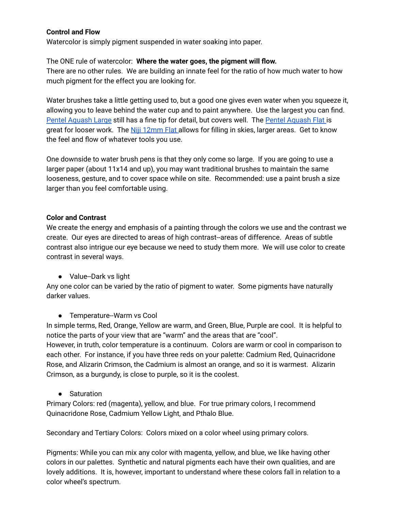## **Control and Flow**

Watercolor is simply pigment suspended in water soaking into paper.

### The ONE rule of watercolor: **Where the water goes, the pigment will flow.**

There are no other rules. We are building an innate feel for the ratio of how much water to how much pigment for the effect you are looking for.

Water brushes take a little getting used to, but a good one gives even water when you squeeze it, allowing you to leave behind the water cup and to paint anywhere. Use the largest you can find. Pentel [Aquash](https://www.amazon.com/Pentel-Aquash-Point-Water-FRHBBP/dp/B002LG0YSO) Large still has a fine tip for detail, but covers well. The Pentel [Aquash](https://www.amazon.com/Pentel-Aquash-Point-Water-FRHBBP/dp/B01FUMOKYE?th=1) Flat is great for looser work. The Niji [12mm](https://www.amazon.com/Yasutomo-Niji-Water-Brush-12mm/dp/B00CHRM7EG/ref=sr_1_3?dchild=1&keywords=niji+water+brush&qid=1627676780&s=office-products&sr=1-3) Flat allows for filling in skies, larger areas. Get to know the feel and flow of whatever tools you use.

One downside to water brush pens is that they only come so large. If you are going to use a larger paper (about 11x14 and up), you may want traditional brushes to maintain the same looseness, gesture, and to cover space while on site. Recommended: use a paint brush a size larger than you feel comfortable using.

## **Color and Contrast**

We create the energy and emphasis of a painting through the colors we use and the contrast we create. Our eyes are directed to areas of high contrast--areas of difference. Areas of subtle contrast also intrigue our eye because we need to study them more. We will use color to create contrast in several ways.

● Value--Dark vs light

Any one color can be varied by the ratio of pigment to water. Some pigments have naturally darker values.

● Temperature--Warm vs Cool

In simple terms, Red, Orange, Yellow are warm, and Green, Blue, Purple are cool. It is helpful to notice the parts of your view that are "warm" and the areas that are "cool". However, in truth, color temperature is a continuum. Colors are warm or cool in comparison to each other. For instance, if you have three reds on your palette: Cadmium Red, Quinacridone Rose, and Alizarin Crimson, the Cadmium is almost an orange, and so it is warmest. Alizarin Crimson, as a burgundy, is close to purple, so it is the coolest.

• Saturation

Primary Colors: red (magenta), yellow, and blue. For true primary colors, I recommend Quinacridone Rose, Cadmium Yellow Light, and Pthalo Blue.

Secondary and Tertiary Colors: Colors mixed on a color wheel using primary colors.

Pigments: While you can mix any color with magenta, yellow, and blue, we like having other colors in our palettes. Synthetic and natural pigments each have their own qualities, and are lovely additions. It is, however, important to understand where these colors fall in relation to a color wheel's spectrum.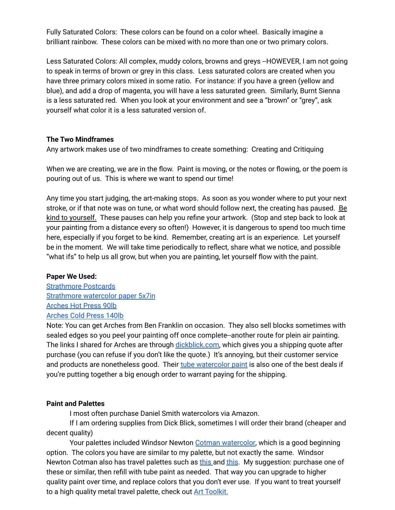Fully Saturated Colors: These colors can be found on a color wheel. Basically imagine a brilliant rainbow. These colors can be mixed with no more than one or two primary colors.

Less Saturated Colors: All complex, muddy colors, browns and greys --HOWEVER, I am not going to speak in terms of brown or grey in this class. Less saturated colors are created when you have three primary colors mixed in some ratio. For instance: if you have a green (yellow and blue), and add a drop of magenta, you will have a less saturated green. Similarly, Burnt Sienna is a less saturated red. When you look at your environment and see a "brown" or "grey", ask yourself what color it is a less saturated version of.

## **The Two Mindframes**

Any artwork makes use of two mindframes to create something: Creating and Critiquing

When we are creating, we are in the flow. Paint is moving, or the notes or flowing, or the poem is pouring out of us. This is where we want to spend our time!

Any time you start judging, the art-making stops. As soon as you wonder where to put your next stroke, or if that note was on tune, or what word should follow next, the creating has paused. Be kind to yourself. These pauses can help you refine your artwork. (Stop and step back to look at your painting from a distance every so often!) However, it is dangerous to spend too much time here, especially if you forget to be kind. Remember, creating art is an experience. Let yourself be in the moment. We will take time periodically to reflect, share what we notice, and possible "what ifs" to help us all grow, but when you are painting, let yourself flow with the paint.

#### **Paper We Used:**

[Strathmore](https://www.amazon.com/Strathmore-Mixed-Media-Postcards-Blank/dp/B07HY7T9ZN/ref=sr_1_1?crid=HJE49CVC5WXC&dchild=1&keywords=strathmore+postcards&qid=1628820662&sprefix=file+%2Caps%2C282&sr=8-1) Postcards [Strathmore](https://www.amazon.com/Strathmore-140-205-Ready-Cut-Sheets/dp/B004WFUE1O/ref=sxts_rp_s1_0?crid=2KEE08MC6N4XK&cv_ct_cx=strathmore+watercolor+paper&keywords=strathmore+watercolor+paper&pd_rd_i=B004WFUE1O&pd_rd_r=5af151a6-a96b-4793-9ad2-bf3444221b9c&pd_rd_w=pJoJN&pd_rd_wg=Vijuy&pf_rd_p=dc8286ba-5f1e-4679-adde-8b7fe66c128e&pf_rd_r=C847646ZT271A75SVQQM&psc=1&qid=1649113979&sprefix=strathmore%2Caps%2C184&sr=1-1-5e1b2986-06e6-4004-a85e-73bfa3ee44fe) watercolor paper 5x7in [Arches](https://www.dickblick.com/items/arches-natural-white-watercolor-paper-22-x-30-hot-press-90-lb-single-sheet/) Hot Press 90lb [Arches](https://www.dickblick.com/items/arches-natural-white-watercolor-paper-22-x-30-cold-press-5-sheets/) Cold Press 140lb

Note: You can get Arches from Ben Franklin on occasion. They also sell blocks sometimes with sealed edges so you peel your painting off once complete--another route for plein air painting. The links I shared for Arches are through *dickblick.com*, which gives you a shipping quote after purchase (you can refuse if you don't like the quote.) It's annoying, but their customer service and products are nonetheless good. Their tube [watercolor](https://www.dickblick.com/products/blick-artists-watercolors/) paint is also one of the best deals if you're putting together a big enough order to warrant paying for the shipping.

#### **Paint and Palettes**

I most often purchase Daniel Smith watercolors via Amazon.

If I am ordering supplies from Dick Blick, sometimes I will order their brand (cheaper and decent quality)

Your palettes included Windsor Newton Cotman [watercolor](https://www.amazon.com/Winsor-Newton-Cotman-Watercolour-20-Mulitcoloured/dp/B08NK1BR8B/ref=sr_1_3?crid=10P7WGBTKX4OJ&keywords=cotman+watercolor+set&qid=1649114135&s=arts-crafts&sprefix=cotman%2Carts-crafts%2C171&sr=1-3), which is a good beginning option. The colors you have are similar to my palette, but not exactly the same. Windsor Newton Cotman also has travel palettes such as [this](https://www.amazon.com/Winsor-Newton-Cotman-Colour-Compact/dp/B00004THXH/ref=sr_1_4?crid=10P7WGBTKX4OJ&keywords=cotman+watercolor+set&qid=1649114277&s=arts-crafts&sprefix=cotman%2Carts-crafts%2C171&sr=1-4) and this. My suggestion: purchase one of these or similar, then refill with tube paint as needed. That way you can upgrade to higher quality paint over time, and replace colors that you don't ever use. If you want to treat yourself to a high quality metal travel palette, check out **Art [Toolkit.](https://arttoolkit.com/supplies/palettes/)**